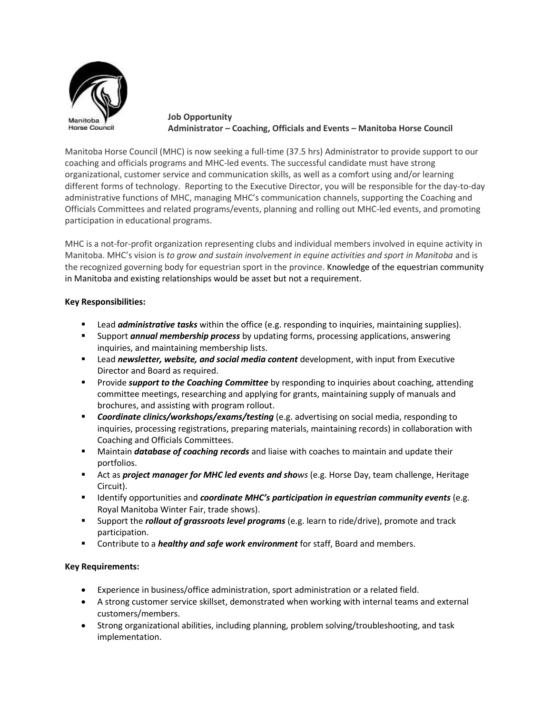

**Job Opportunity Administrator – Coaching, Officials and Events – Manitoba Horse Council**

Manitoba Horse Council (MHC) is now seeking a full-time (37.5 hrs) Administrator to provide support to our coaching and officials programs and MHC-led events. The successful candidate must have strong organizational, customer service and communication skills, as well as a comfort using and/or learning different forms of technology. Reporting to the Executive Director, you will be responsible for the day-to-day administrative functions of MHC, managing MHC's communication channels, supporting the Coaching and Officials Committees and related programs/events, planning and rolling out MHC-led events, and promoting participation in educational programs.

MHC is a not-for-profit organization representing clubs and individual members involved in equine activity in Manitoba. MHC's vision is *to grow and sustain involvement in equine activities and sport in Manitoba* and is the recognized governing body for equestrian sport in the province. Knowledge of the equestrian community in Manitoba and existing relationships would be asset but not a requirement.

## **Key Responsibilities:**

- Lead *administrative tasks* within the office (e.g. responding to inquiries, maintaining supplies).
- Support *annual membership process* by updating forms, processing applications, answering inquiries, and maintaining membership lists.
- Lead *newsletter, website, and social media content* development, with input from Executive Director and Board as required.
- **EXP** Provide *support to the Coaching Committee* by responding to inquiries about coaching, attending committee meetings, researching and applying for grants, maintaining supply of manuals and brochures, and assisting with program rollout.
- *Coordinate clinics/workshops/exams/testing* (e.g. advertising on social media, responding to inquiries, processing registrations, preparing materials, maintaining records) in collaboration with Coaching and Officials Committees.
- **■** Maintain *database of coaching records* and liaise with coaches to maintain and update their portfolios.
- **EXP** Act as *project manager for MHC led events and shows* (e.g. Horse Day, team challenge, Heritage Circuit).
- Identify opportunities and *coordinate MHC's participation in equestrian community events* (e.g. Royal Manitoba Winter Fair, trade shows).
- Support the *rollout of grassroots level programs* (e.g. learn to ride/drive), promote and track participation.
- **EXECONTER 19 Inter-** Contribute to a *healthy and safe work environment* for staff, Board and members.

## **Key Requirements:**

- Experience in business/office administration, sport administration or a related field.
- A strong customer service skillset, demonstrated when working with internal teams and external customers/members.
- Strong organizational abilities, including planning, problem solving/troubleshooting, and task implementation.